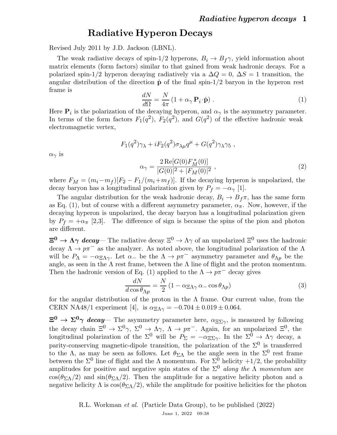## Radiative Hyperon Decays

Revised July 2011 by J.D. Jackson (LBNL).

The weak radiative decays of spin-1/2 hyperons,  $B_i \rightarrow B_f \gamma$ , yield information about matrix elements (form factors) similar to that gained from weak hadronic decays. For a polarized spin-1/2 hyperon decaying radiatively via a  $\Delta Q = 0$ ,  $\Delta S = 1$  transition, the angular distribution of the direction  $\hat{p}$  of the final spin-1/2 baryon in the hyperon rest frame is

$$
\frac{dN}{d\Omega} = \frac{N}{4\pi} \left( 1 + \alpha_{\gamma} \, \mathbf{P}_i \cdot \hat{\mathbf{p}} \right) \,. \tag{1}
$$

Here  $P_i$  is the polarization of the decaying hyperon, and  $\alpha_{\gamma}$  is the asymmetry parameter. In terms of the form factors  $F_1(q^2)$ ,  $F_2(q^2)$ , and  $G(q^2)$  of the effective hadronic weak electromagnetic vertex,

$$
F_1(q^2)\gamma_\lambda + iF_2(q^2)\sigma_{\lambda\mu}q^\mu + G(q^2)\gamma_\lambda\gamma_5,
$$

 $\alpha_{\gamma}$  is

$$
\alpha_{\gamma} = \frac{2 \operatorname{Re}[G(0) F_M^*(0)]}{|G(0)|^2 + |F_M(0)|^2}, \qquad (2)
$$

where  $F_M = (m_i - m_f)[F_2 - F_1/(m_i + m_f)]$ . If the decaying hyperon is unpolarized, the decay baryon has a longitudinal polarization given by  $P_f = -\alpha_\gamma$  [1].

The angular distribution for the weak hadronic decay,  $B_i \rightarrow B_f \pi$ , has the same form as Eq. (1), but of course with a different asymmetry parameter,  $\alpha_{\pi}$ . Now, however, if the decaying hyperon is unpolarized, the decay baryon has a longitudinal polarization given by  $P_f = +\alpha_\pi$  [2,3]. The difference of sign is because the spins of the pion and photon are different.

 $\Xi^0 \to \Lambda \gamma$  decay— The radiative decay  $\Xi^0 \to \Lambda \gamma$  of an unpolarized  $\Xi^0$  uses the hadronic decay  $\Lambda \to p\pi^-$  as the analyzer. As noted above, the longitudinal polarization of the  $\Lambda$ will be  $P_{\Lambda} = -\alpha_{\Xi \Lambda \gamma}$ . Let  $\alpha_{-}$  be the  $\Lambda \to p \pi^{-}$  asymmetry parameter and  $\theta_{\Lambda p}$  be the angle, as seen in the  $\Lambda$  rest frame, between the  $\Lambda$  line of flight and the proton momentum. Then the hadronic version of Eq. (1) applied to the  $\Lambda \to p\pi^-$  decay gives

$$
\frac{dN}{d\cos\theta_{\Lambda p}} = \frac{N}{2} \left( 1 - \alpha_{\Xi\Lambda\gamma} \alpha_{-} \cos\theta_{\Lambda p} \right) \tag{3}
$$

for the angular distribution of the proton in the  $\Lambda$  frame. Our current value, from the CERN NA48/1 experiment [4], is  $\alpha_{\text{E}\Lambda\gamma} = -0.704 \pm 0.019 \pm 0.064$ .

 $\Xi^0 \to \Sigma^0 \gamma$  decay— The asymmetry parameter here,  $\alpha_{\Xi\Sigma\gamma}$ , is measured by following the decay chain  $\Xi^0 \to \Sigma^0 \gamma$ ,  $\Sigma^0 \to \Lambda \gamma$ ,  $\Lambda \to p\pi^-$ . Again, for an unpolarized  $\Xi^0$ , the longitudinal polarization of the  $\Sigma^0$  will be  $P_{\Sigma} = -\alpha_{\Xi\Sigma\gamma}$ . In the  $\Sigma^0 \to \Lambda\gamma$  decay, a parity-conserving magnetic-dipole transition, the polarization of the  $\Sigma^0$  is transferred to the  $\Lambda$ , as may be seen as follows. Let  $\theta_{\Sigma\Lambda}$  be the angle seen in the  $\Sigma^0$  rest frame between the  $\Sigma^0$  line of flight and the  $\Lambda$  momentum. For  $\Sigma^0$  helicity  $+1/2$ , the probability amplitudes for positive and negative spin states of the  $\Sigma^0$  along the  $\Lambda$  momentum are cos( $\theta_{\Sigma\Lambda}/2$ ) and sin( $\theta_{\Sigma\Lambda}/2$ ). Then the amplitude for a negative helicity photon and a negative helicity  $\Lambda$  is  $\cos(\theta_{\Sigma\Lambda}/2)$ , while the amplitude for positive helicities for the photon

> R.L. Workman et al. (Particle Data Group), to be published (2022) June 1, 2022 09:38